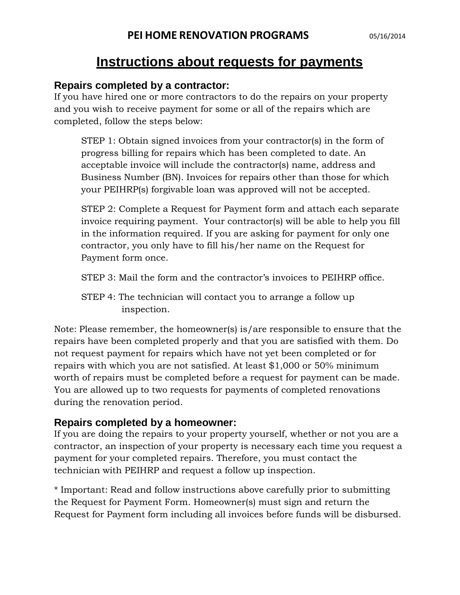## **Instructions about requests for payments**

## **Repairs completed by a contractor:**

If you have hired one or more contractors to do the repairs on your property and you wish to receive payment for some or all of the repairs which are completed, follow the steps below:

STEP 1: Obtain signed invoices from your contractor(s) in the form of progress billing for repairs which has been completed to date. An acceptable invoice will include the contractor(s) name, address and Business Number (BN). Invoices for repairs other than those for which your PEIHRP(s) forgivable loan was approved will not be accepted.

STEP 2: Complete a Request for Payment form and attach each separate invoice requiring payment. Your contractor(s) will be able to help you fill in the information required. If you are asking for payment for only one contractor, you only have to fill his/her name on the Request for Payment form once.

STEP 3: Mail the form and the contractor's invoices to PEIHRP office.

STEP 4: The technician will contact you to arrange a follow up inspection.

Note: Please remember, the homeowner(s) is/are responsible to ensure that the repairs have been completed properly and that you are satisfied with them. Do not request payment for repairs which have not yet been completed or for repairs with which you are not satisfied. At least \$1,000 or 50% minimum worth of repairs must be completed before a request for payment can be made. You are allowed up to two requests for payments of completed renovations during the renovation period.

## **Repairs completed by a homeowner:**

If you are doing the repairs to your property yourself, whether or not you are a contractor, an inspection of your property is necessary each time you request a payment for your completed repairs. Therefore, you must contact the technician with PEIHRP and request a follow up inspection.

\* Important: Read and follow instructions above carefully prior to submitting the Request for Payment Form. Homeowner(s) must sign and return the Request for Payment form including all invoices before funds will be disbursed.